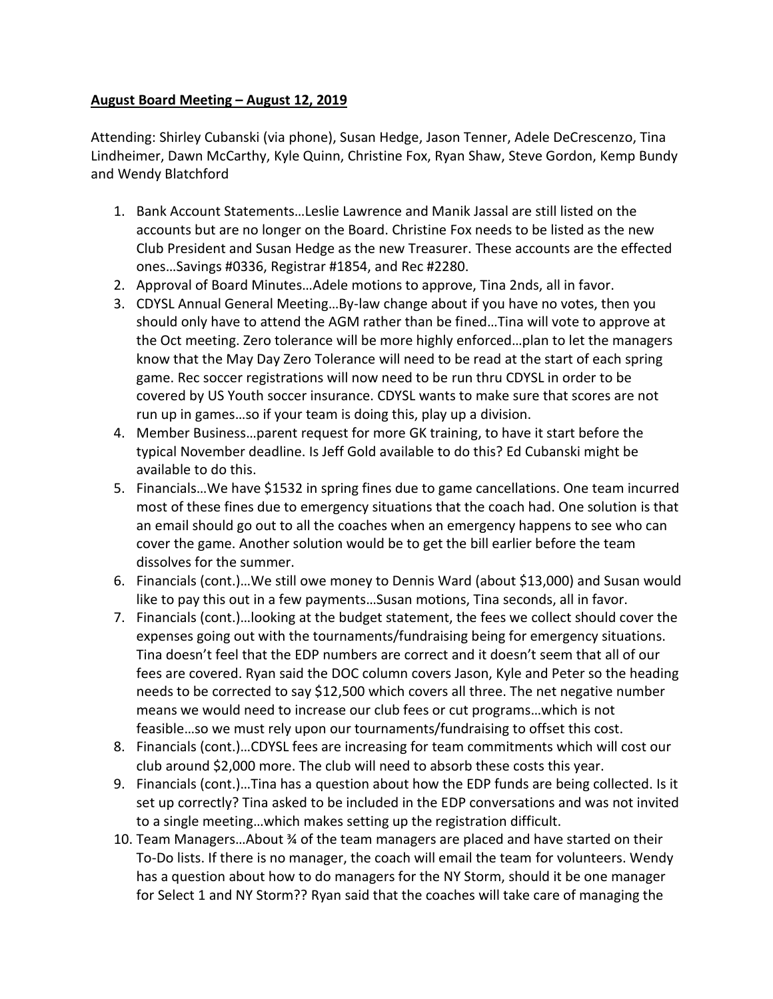## **August Board Meeting – August 12, 2019**

Attending: Shirley Cubanski (via phone), Susan Hedge, Jason Tenner, Adele DeCrescenzo, Tina Lindheimer, Dawn McCarthy, Kyle Quinn, Christine Fox, Ryan Shaw, Steve Gordon, Kemp Bundy and Wendy Blatchford

- 1. Bank Account Statements…Leslie Lawrence and Manik Jassal are still listed on the accounts but are no longer on the Board. Christine Fox needs to be listed as the new Club President and Susan Hedge as the new Treasurer. These accounts are the effected ones…Savings #0336, Registrar #1854, and Rec #2280.
- 2. Approval of Board Minutes…Adele motions to approve, Tina 2nds, all in favor.
- 3. CDYSL Annual General Meeting…By-law change about if you have no votes, then you should only have to attend the AGM rather than be fined…Tina will vote to approve at the Oct meeting. Zero tolerance will be more highly enforced…plan to let the managers know that the May Day Zero Tolerance will need to be read at the start of each spring game. Rec soccer registrations will now need to be run thru CDYSL in order to be covered by US Youth soccer insurance. CDYSL wants to make sure that scores are not run up in games…so if your team is doing this, play up a division.
- 4. Member Business…parent request for more GK training, to have it start before the typical November deadline. Is Jeff Gold available to do this? Ed Cubanski might be available to do this.
- 5. Financials…We have \$1532 in spring fines due to game cancellations. One team incurred most of these fines due to emergency situations that the coach had. One solution is that an email should go out to all the coaches when an emergency happens to see who can cover the game. Another solution would be to get the bill earlier before the team dissolves for the summer.
- 6. Financials (cont.)…We still owe money to Dennis Ward (about \$13,000) and Susan would like to pay this out in a few payments…Susan motions, Tina seconds, all in favor.
- 7. Financials (cont.)…looking at the budget statement, the fees we collect should cover the expenses going out with the tournaments/fundraising being for emergency situations. Tina doesn't feel that the EDP numbers are correct and it doesn't seem that all of our fees are covered. Ryan said the DOC column covers Jason, Kyle and Peter so the heading needs to be corrected to say \$12,500 which covers all three. The net negative number means we would need to increase our club fees or cut programs…which is not feasible…so we must rely upon our tournaments/fundraising to offset this cost.
- 8. Financials (cont.)…CDYSL fees are increasing for team commitments which will cost our club around \$2,000 more. The club will need to absorb these costs this year.
- 9. Financials (cont.)…Tina has a question about how the EDP funds are being collected. Is it set up correctly? Tina asked to be included in the EDP conversations and was not invited to a single meeting…which makes setting up the registration difficult.
- 10. Team Managers…About ¾ of the team managers are placed and have started on their To-Do lists. If there is no manager, the coach will email the team for volunteers. Wendy has a question about how to do managers for the NY Storm, should it be one manager for Select 1 and NY Storm?? Ryan said that the coaches will take care of managing the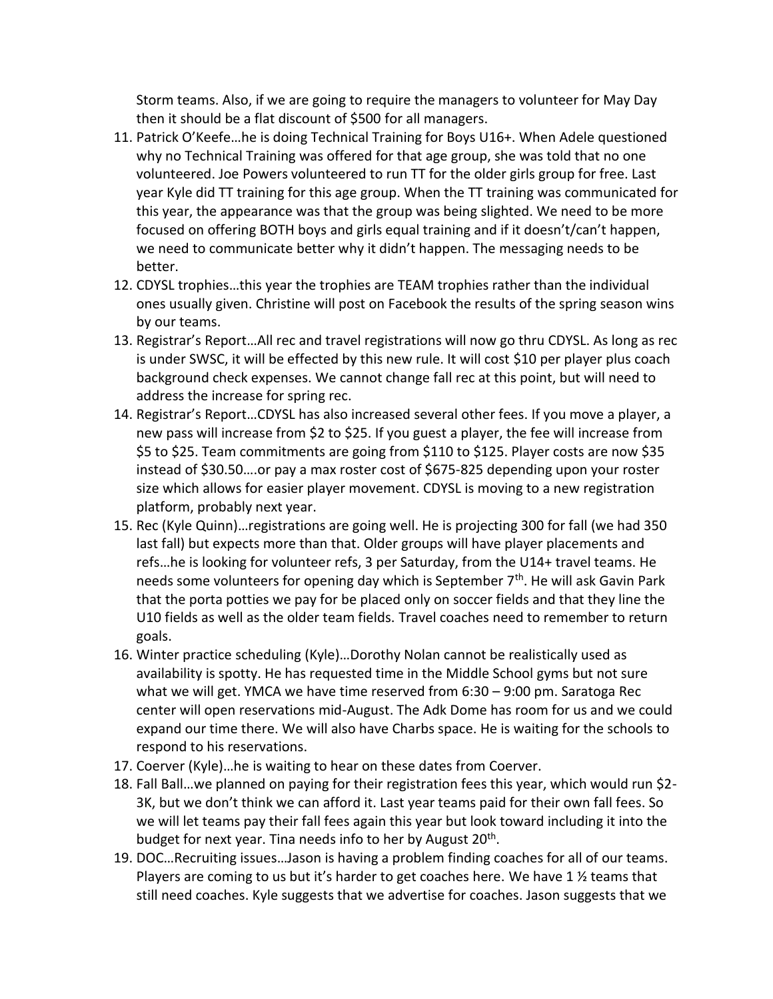Storm teams. Also, if we are going to require the managers to volunteer for May Day then it should be a flat discount of \$500 for all managers.

- 11. Patrick O'Keefe…he is doing Technical Training for Boys U16+. When Adele questioned why no Technical Training was offered for that age group, she was told that no one volunteered. Joe Powers volunteered to run TT for the older girls group for free. Last year Kyle did TT training for this age group. When the TT training was communicated for this year, the appearance was that the group was being slighted. We need to be more focused on offering BOTH boys and girls equal training and if it doesn't/can't happen, we need to communicate better why it didn't happen. The messaging needs to be better.
- 12. CDYSL trophies…this year the trophies are TEAM trophies rather than the individual ones usually given. Christine will post on Facebook the results of the spring season wins by our teams.
- 13. Registrar's Report…All rec and travel registrations will now go thru CDYSL. As long as rec is under SWSC, it will be effected by this new rule. It will cost \$10 per player plus coach background check expenses. We cannot change fall rec at this point, but will need to address the increase for spring rec.
- 14. Registrar's Report…CDYSL has also increased several other fees. If you move a player, a new pass will increase from \$2 to \$25. If you guest a player, the fee will increase from \$5 to \$25. Team commitments are going from \$110 to \$125. Player costs are now \$35 instead of \$30.50….or pay a max roster cost of \$675-825 depending upon your roster size which allows for easier player movement. CDYSL is moving to a new registration platform, probably next year.
- 15. Rec (Kyle Quinn)…registrations are going well. He is projecting 300 for fall (we had 350 last fall) but expects more than that. Older groups will have player placements and refs…he is looking for volunteer refs, 3 per Saturday, from the U14+ travel teams. He needs some volunteers for opening day which is September 7<sup>th</sup>. He will ask Gavin Park that the porta potties we pay for be placed only on soccer fields and that they line the U10 fields as well as the older team fields. Travel coaches need to remember to return goals.
- 16. Winter practice scheduling (Kyle)…Dorothy Nolan cannot be realistically used as availability is spotty. He has requested time in the Middle School gyms but not sure what we will get. YMCA we have time reserved from 6:30 – 9:00 pm. Saratoga Rec center will open reservations mid-August. The Adk Dome has room for us and we could expand our time there. We will also have Charbs space. He is waiting for the schools to respond to his reservations.
- 17. Coerver (Kyle)…he is waiting to hear on these dates from Coerver.
- 18. Fall Ball…we planned on paying for their registration fees this year, which would run \$2- 3K, but we don't think we can afford it. Last year teams paid for their own fall fees. So we will let teams pay their fall fees again this year but look toward including it into the budget for next year. Tina needs info to her by August 20<sup>th</sup>.
- 19. DOC…Recruiting issues…Jason is having a problem finding coaches for all of our teams. Players are coming to us but it's harder to get coaches here. We have 1 ½ teams that still need coaches. Kyle suggests that we advertise for coaches. Jason suggests that we